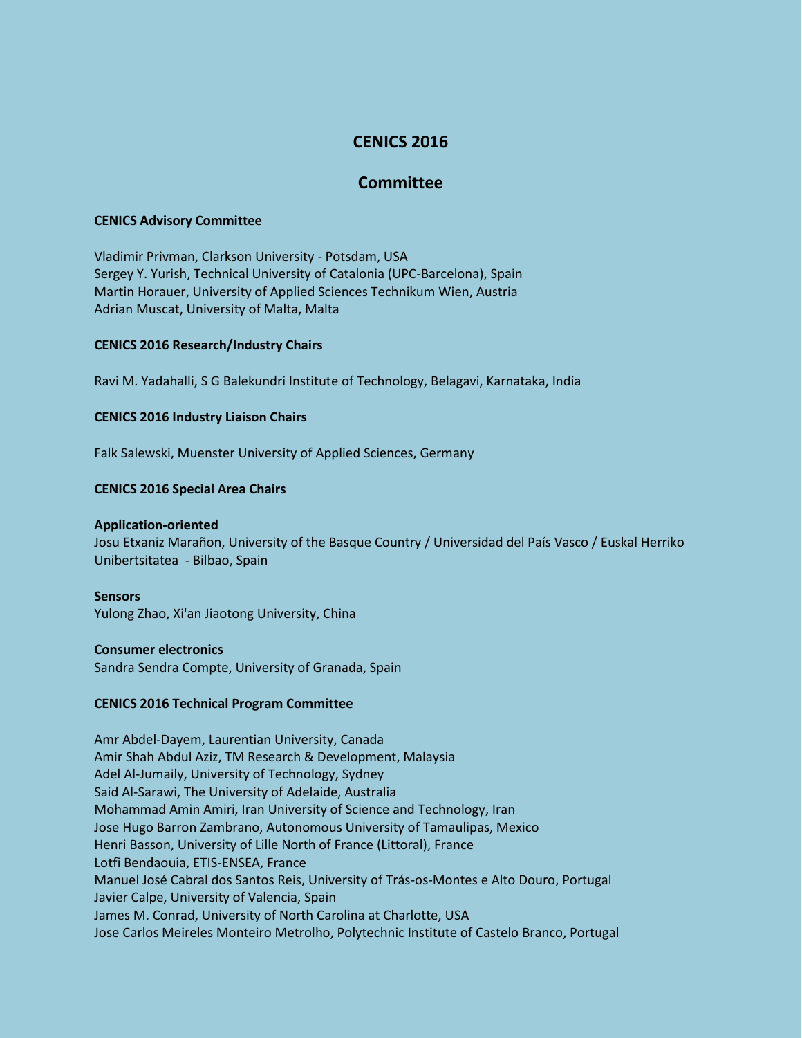# **CENICS 2016**

# **Committee**

#### **CENICS Advisory Committee**

Vladimir Privman, Clarkson University - Potsdam, USA Sergey Y. Yurish, Technical University of Catalonia (UPC-Barcelona), Spain Martin Horauer, University of Applied Sciences Technikum Wien, Austria Adrian Muscat, University of Malta, Malta

## **CENICS 2016 Research/Industry Chairs**

Ravi M. Yadahalli, S G Balekundri Institute of Technology, Belagavi, Karnataka, India

## **CENICS 2016 Industry Liaison Chairs**

Falk Salewski, Muenster University of Applied Sciences, Germany

## **CENICS 2016 Special Area Chairs**

#### **Application-oriented**

Josu Etxaniz Marañon, University of the Basque Country / Universidad del País Vasco / Euskal Herriko Unibertsitatea - Bilbao, Spain

#### **Sensors**

Yulong Zhao, Xi'an Jiaotong University, China

#### **Consumer electronics**

Sandra Sendra Compte, University of Granada, Spain

#### **CENICS 2016 Technical Program Committee**

Amr Abdel-Dayem, Laurentian University, Canada Amir Shah Abdul Aziz, TM Research & Development, Malaysia Adel Al-Jumaily, University of Technology, Sydney Said Al-Sarawi, The University of Adelaide, Australia Mohammad Amin Amiri, Iran University of Science and Technology, Iran Jose Hugo Barron Zambrano, Autonomous University of Tamaulipas, Mexico Henri Basson, University of Lille North of France (Littoral), France Lotfi Bendaouia, ETIS-ENSEA, France Manuel José Cabral dos Santos Reis, University of Trás-os-Montes e Alto Douro, Portugal Javier Calpe, University of Valencia, Spain James M. Conrad, University of North Carolina at Charlotte, USA Jose Carlos Meireles Monteiro Metrolho, Polytechnic Institute of Castelo Branco, Portugal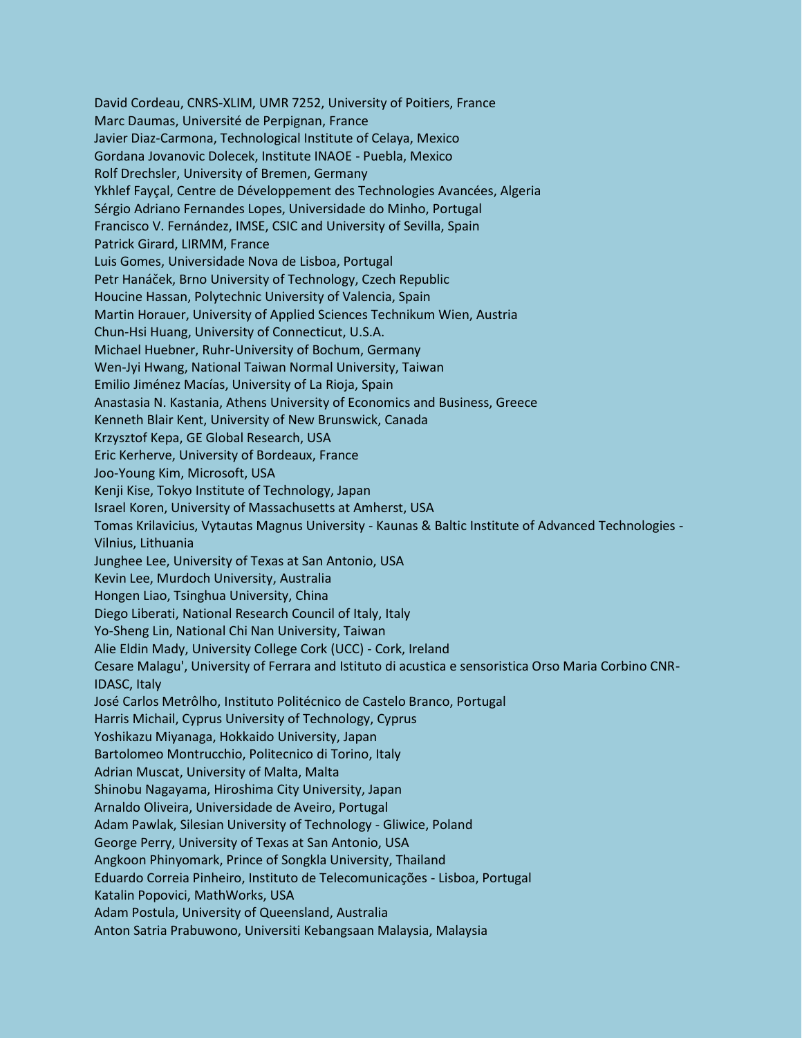David Cordeau, CNRS-XLIM, UMR 7252, University of Poitiers, France Marc Daumas, Université de Perpignan, France Javier Diaz-Carmona, Technological Institute of Celaya, Mexico Gordana Jovanovic Dolecek, Institute INAOE - Puebla, Mexico Rolf Drechsler, University of Bremen, Germany Ykhlef Fayçal, Centre de Développement des Technologies Avancées, Algeria Sérgio Adriano Fernandes Lopes, Universidade do Minho, Portugal Francisco V. Fernández, IMSE, CSIC and University of Sevilla, Spain Patrick Girard, LIRMM, France Luis Gomes, Universidade Nova de Lisboa, Portugal Petr Hanáček, Brno University of Technology, Czech Republic Houcine Hassan, Polytechnic University of Valencia, Spain Martin Horauer, University of Applied Sciences Technikum Wien, Austria Chun-Hsi Huang, University of Connecticut, U.S.A. Michael Huebner, Ruhr-University of Bochum, Germany Wen-Jyi Hwang, National Taiwan Normal University, Taiwan Emilio Jiménez Macías, University of La Rioja, Spain Anastasia N. Kastania, Athens University of Economics and Business, Greece Kenneth Blair Kent, University of New Brunswick, Canada Krzysztof Kepa, GE Global Research, USA Eric Kerherve, University of Bordeaux, France Joo-Young Kim, Microsoft, USA Kenji Kise, Tokyo Institute of Technology, Japan Israel Koren, University of Massachusetts at Amherst, USA Tomas Krilavicius, Vytautas Magnus University - Kaunas & Baltic Institute of Advanced Technologies - Vilnius, Lithuania Junghee Lee, University of Texas at San Antonio, USA Kevin Lee, Murdoch University, Australia Hongen Liao, Tsinghua University, China Diego Liberati, National Research Council of Italy, Italy Yo-Sheng Lin, National Chi Nan University, Taiwan Alie Eldin Mady, University College Cork (UCC) - Cork, Ireland Cesare Malagu', University of Ferrara and Istituto di acustica e sensoristica Orso Maria Corbino CNR-IDASC, Italy José Carlos Metrôlho, Instituto Politécnico de Castelo Branco, Portugal Harris Michail, Cyprus University of Technology, Cyprus Yoshikazu Miyanaga, Hokkaido University, Japan Bartolomeo Montrucchio, Politecnico di Torino, Italy Adrian Muscat, University of Malta, Malta Shinobu Nagayama, Hiroshima City University, Japan Arnaldo Oliveira, Universidade de Aveiro, Portugal Adam Pawlak, Silesian University of Technology - Gliwice, Poland George Perry, University of Texas at San Antonio, USA Angkoon Phinyomark, Prince of Songkla University, Thailand Eduardo Correia Pinheiro, Instituto de Telecomunicações - Lisboa, Portugal Katalin Popovici, MathWorks, USA Adam Postula, University of Queensland, Australia Anton Satria Prabuwono, Universiti Kebangsaan Malaysia, Malaysia